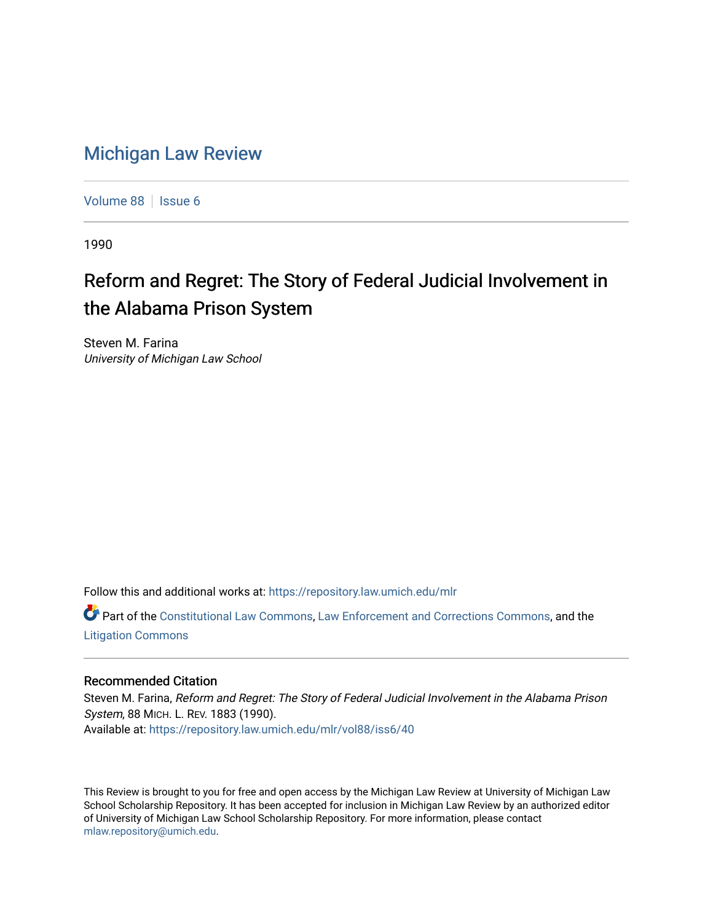## [Michigan Law Review](https://repository.law.umich.edu/mlr)

[Volume 88](https://repository.law.umich.edu/mlr/vol88) | [Issue 6](https://repository.law.umich.edu/mlr/vol88/iss6)

1990

## Reform and Regret: The Story of Federal Judicial Involvement in the Alabama Prison System

Steven M. Farina University of Michigan Law School

Follow this and additional works at: [https://repository.law.umich.edu/mlr](https://repository.law.umich.edu/mlr?utm_source=repository.law.umich.edu%2Fmlr%2Fvol88%2Fiss6%2F40&utm_medium=PDF&utm_campaign=PDFCoverPages) 

Part of the [Constitutional Law Commons,](http://network.bepress.com/hgg/discipline/589?utm_source=repository.law.umich.edu%2Fmlr%2Fvol88%2Fiss6%2F40&utm_medium=PDF&utm_campaign=PDFCoverPages) [Law Enforcement and Corrections Commons,](http://network.bepress.com/hgg/discipline/854?utm_source=repository.law.umich.edu%2Fmlr%2Fvol88%2Fiss6%2F40&utm_medium=PDF&utm_campaign=PDFCoverPages) and the [Litigation Commons](http://network.bepress.com/hgg/discipline/910?utm_source=repository.law.umich.edu%2Fmlr%2Fvol88%2Fiss6%2F40&utm_medium=PDF&utm_campaign=PDFCoverPages) 

## Recommended Citation

Steven M. Farina, Reform and Regret: The Story of Federal Judicial Involvement in the Alabama Prison System, 88 MICH. L. REV. 1883 (1990). Available at: [https://repository.law.umich.edu/mlr/vol88/iss6/40](https://repository.law.umich.edu/mlr/vol88/iss6/40?utm_source=repository.law.umich.edu%2Fmlr%2Fvol88%2Fiss6%2F40&utm_medium=PDF&utm_campaign=PDFCoverPages) 

This Review is brought to you for free and open access by the Michigan Law Review at University of Michigan Law School Scholarship Repository. It has been accepted for inclusion in Michigan Law Review by an authorized editor of University of Michigan Law School Scholarship Repository. For more information, please contact [mlaw.repository@umich.edu.](mailto:mlaw.repository@umich.edu)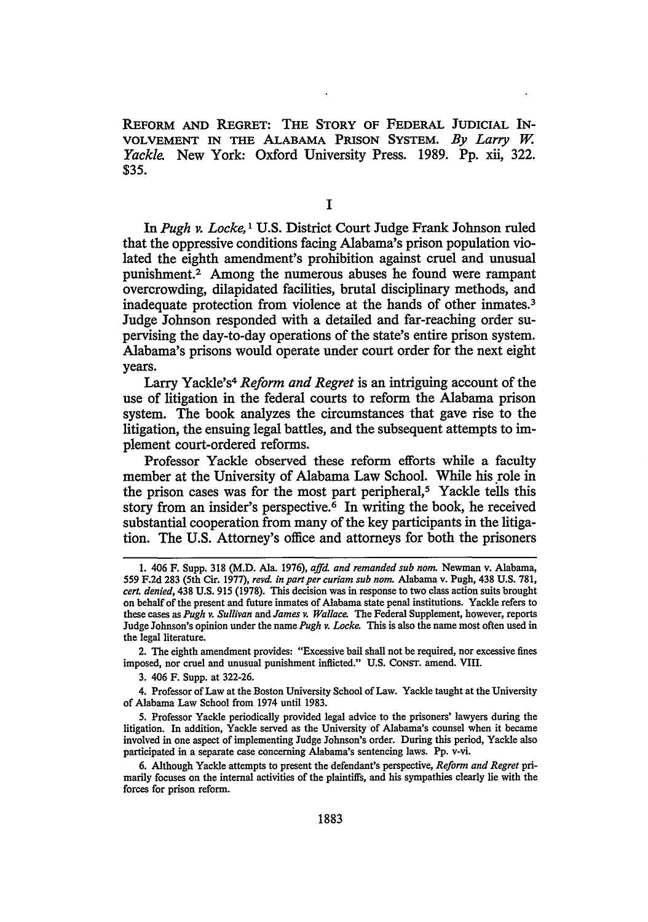REFORM AND REGRET: THE STORY OF FEDERAL JUDICIAL IN-VOLVEMENT IN THE ALABAMA PRISON SYSTEM. *By Larry* w. *Yackle.* New York: Oxford University Press. 1989. Pp. xii, 322. \$35.

I

In *Pugh v. Locke,* 1 U.S. District Court Judge Frank Johnson ruled that the oppressive conditions facing Alabama's prison population violated the eighth amendment's prohibition against cruel and unusual punishment.2 Among the numerous abuses he found were rampant overcrowding, dilapidated facilities, brutal disciplinary methods, and inadequate protection from violence at the hands of other inmates.<sup>3</sup> Judge Johnson responded with a detailed and far-reaching order supervising the day-to-day operations of the state's entire prison system. Alabama's prisons would operate under court order for the next eight years.

Larry Yackle's<sup>4</sup> *Reform and Regret* is an intriguing account of the use of litigation in the federal courts to reform the Alabama prison system. The book analyzes the circumstances that gave rise to the litigation, the ensuing legal battles, and the subsequent attempts to implement court-ordered reforms.

Professor Yackle observed these reform efforts while a faculty member at the University of Alabama Law School. While his role in the prison cases was for the most part peripheral,<sup>5</sup> Yackle tells this story from an insider's perspective.<sup>6</sup> In writing the book, he received substantial cooperation from many of the key participants in the litigation. The U.S. Attorney's office and attorneys for both the prisoners

2. The eighth amendment provides: "Excessive bail shall not be required, nor excessive fines imposed, nor cruel and unusual punishment inflicted." U.S. CONST. amend. VIII.

3. 406 F. Supp. at 322-26.

4. Professor of Law at the Boston University School of Law. Yackle taught at the University of Alabama Law School from 1974 until 1983.

5. Professor Yackle periodically provided legal advice to the prisoners' lawyers during the litigation. In addition, Yackle served as the University of Alabama's counsel when it became involved in one aspect of implementing Judge Johnson's order. During this period, Yackle also participated in a separate case concerning Alabama's sentencing laws. Pp. v-vi.

6. Although Yackle attempts to present the defendant's perspective, *Reform and Regret* primarily focuses on the internal activities of the plaintiffs, and his sympathies clearly lie with the forces for prison reform.

<sup>1. 406</sup> F. Supp. 318 (M.D. Ala. 1976), *ajfd. and remanded sub nom.* Newman v. Alabama, 559 F.2d 283 (5th Cir. 1977), *revd. in part per curiam sub nom.* Alabama v. Pugh, 438 U.S. 781, *cert. denied,* 438 U.S. 915 (1978). This decision was in response to two class action suits brought on behalf of the present and future inmates of Alabama state penal institutions. Yackle refers to these cases as *Pugh v. Sullivan* and *James v. Wallace.* The Federal Supplement, however, reports Judge Johnson's opinion under the name *Pugh v. Locke.* This is also the name most often used in the legal literature.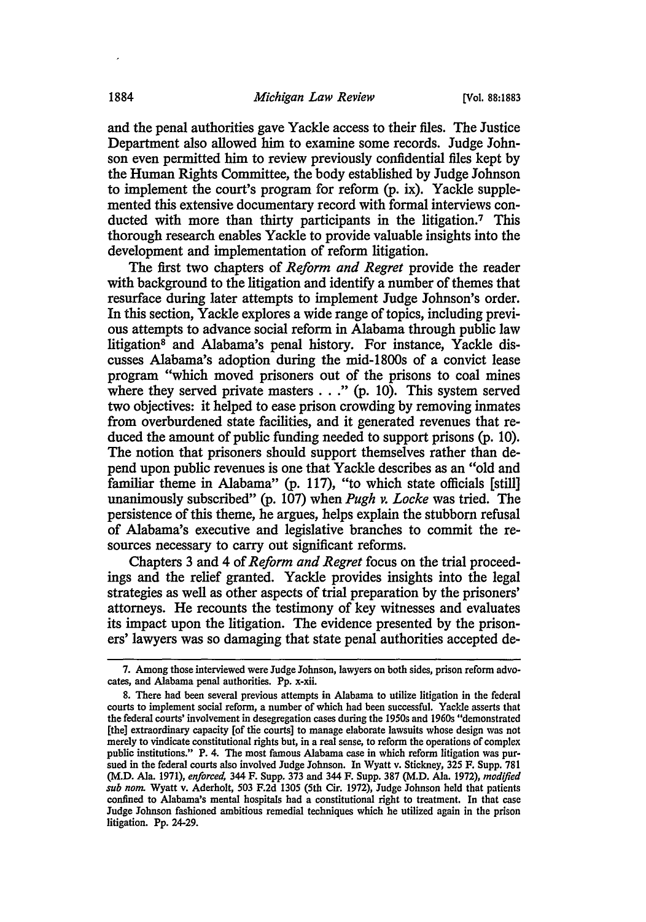and the penal authorities gave Yackle access to their files. The Justice Department also allowed him to examine some records. Judge Johnson even permitted him to review previously confidential files kept by the Human Rights Committee, the body established by Judge Johnson to implement the court's program for reform (p. ix). Yackle supplemented this extensive documentary record with formal interviews conducted with more than thirty participants in the litigation.<sup>7</sup> This thorough research enables Yackle to provide valuable insights into the development and implementation of reform litigation.

The first two chapters of *Reform and Regret* provide the reader with background to the litigation and identify a number of themes that resurface during later attempts to implement Judge Johnson's order. In this section, Yackle explores a wide range of topics, including previous attempts to advance social reform in Alabama through public law litigation<sup>8</sup> and Alabama's penal history. For instance, Yackle discusses Alabama's adoption during the mid-1800s of a convict lease program "which moved prisoners out of the prisons to coal mines where they served private masters . . ." (p. 10). This system served two objectives: it helped to ease prison crowding by removing inmates from overburdened state facilities, and it generated revenues that reduced the amount of public funding needed to support prisons (p. 10). The notion that prisoners should support themselves rather than depend upon public revenues is one that Yackle describes as an "old and familiar theme in Alabama" (p. 117), "to which state officials [still] unanimously subscribed" (p. 107) when *Pugh v. Locke* was tried. The persistence of this theme, he argues, helps explain the stubborn refusal of Alabama's executive and legislative branches to commit the resources necessary to carry out significant reforms.

Chapters 3 and 4 of *Reform and Regret* focus on the trial proceedings and the relief granted. Yackle provides insights into the legal strategies as well as other aspects of trial preparation by the prisoners' attorneys. He recounts the testimony of key witnesses and evaluates its impact upon the litigation. The evidence presented by the prisoners' lawyers was so damaging that state penal authorities accepted de-

<sup>7.</sup> Among those interviewed were Judge Johnson, lawyers on both sides, prison reform advocates, and Alabama penal authorities. Pp. x-xii.

<sup>8.</sup> There had been several previous attempts in Alabama to utilize litigation in the federal courts to implement social reform, a number of which had been successful. Yackle asserts that the federal courts' involvement in desegregation cases during the 1950s and 1960s "demonstrated [the] extraordinary capacity [of the courts] to manage elaborate lawsuits whose design was not merely to vindicate constitutional rights but, in a real sense, to reform the operations of complex public institutions." P. 4. The most famous Alabama case in which reform litigation was pursued in the federal courts also involved Judge Johnson. In Wyatt v. Stickney, 325 F. Supp. 781 (M.D. Ala. 1971), *enforced,* 344 F. Supp. 373 and 344 F. Supp. 387 (M.D. Ala. 1972), *modified sub nom.* Wyatt v. Aderholt, 503 F.2d 1305 (5th Cir. 1972), Judge Johnson held that patients confined to Alabama's mental hospitals had a constitutional right to treatment. In that case Judge Johnson fashioned ambitious remedial techniques which he utilized again in the prison litigation. Pp. 24-29.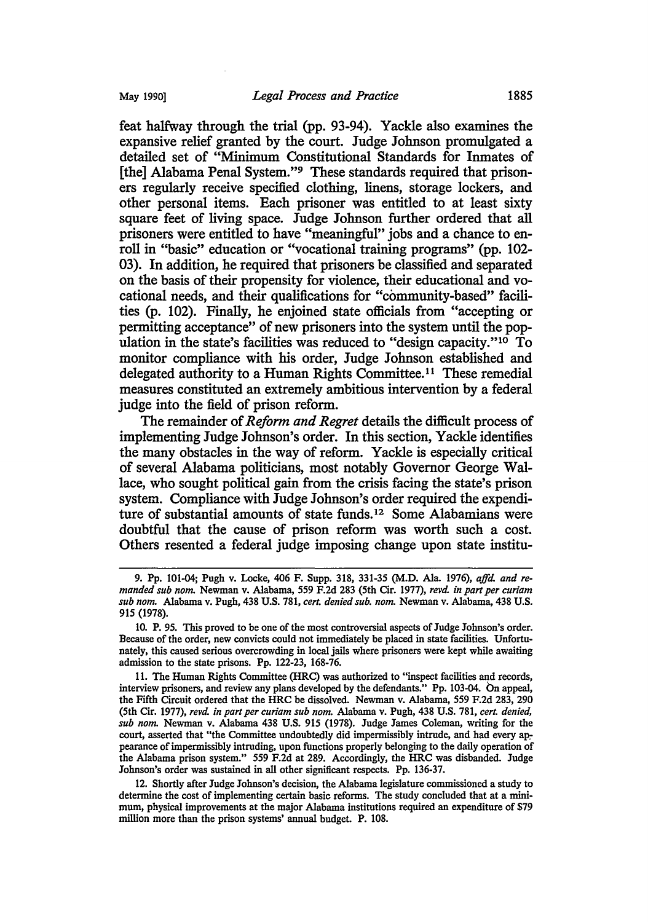feat halfway through the trial (pp. 93-94). Y ackle also examines the expansive relief granted by the court. Judge Johnson promulgated a detailed set of "Minimum Constitutional Standards for Inmates of [the] Alabama Penal System."9 These standards required that prisoners regularly receive specified clothing, linens, storage lockers, and other personal items. Each prisoner was entitled to at least sixty square feet of living space. Judge Johnson further ordered that all prisoners were entitled to have "meaningful" jobs and a chance to enroll in "basic" education or "vocational training programs" (pp. 102- 03). In addition, he required that prisoners be classified and separated on the basis of their propensity for violence, their educational and vocational needs, and their qualifications for "community-based" facilities (p. 102). Finally, he enjoined state officials from "accepting or permitting acceptance" of new prisoners into the system until the population in the state's facilities was reduced to "design capacity."<sup>10</sup> To monitor compliance with his order, Judge Johnson established and delegated authority to a Human Rights Committee. 11 These remedial measures constituted an extremely ambitious intervention by a federal judge into the field of prison reform.

The remainder of *Reform and Regret* details the difficult process of implementing Judge Johnson's order. In this section, Yackle identifies the many obstacles in the way of reform. Yackle is especially critical of several Alabama politicians, most notably Governor George Wallace, who sought political gain from the crisis facing the state's prison system. Compliance with Judge Johnson's order required the expenditure of substantial amounts of state funds. 12 Some Alabamians were doubtful that the cause of prison reform was worth such a cost. Others resented a federal judge imposing change upon state institu-

<sup>9.</sup> Pp. 101-04; Pugh v. Locke, 406 F. Supp. 318, 331-35 (M.D. Ala. 1976), *affd. and remanded sub nom* Newman v. Alabama, 559 F.2d 283 (5th Cir. 1977), *revd. in part per curiam sub nom* Alabama v. Pugh, 438 U.S. 781, *cert. denied sub. nom* Newman v. Alabama, 438 U.S. 915 (1978).

<sup>10.</sup> P. 95. This proved to be one of the most controversial aspects of Judge Johnson's order. Because of the order, new convicts could not immediately be placed in state facilities. Unfortunately, this caused serious overcrowding in local jails where prisoners were kept while awaiting admission to the state prisons. Pp. 122-23, 168-76.

<sup>11.</sup> The Human Rights Committee (HRC) was authorized to "inspect facilities and records, interview prisoners, and review any plans developed by the defendants." Pp. 103-04. On appeal, the Fifth Circuit ordered that the HRC be dissolved. Newman v. Alabama, 559 F.2d 283, 290 (5th Cir. 1977), *revd. in part per curiam sub nom* Alabama v. Pugh, 438 U.S. 781, *cert. denied, sub nom* Newman v. Alabama 438 U.S. 915 (1978). Judge James Coleman, writing for the court, asserted that "the Committee undoubtedly did impermissibly intrude, and had every appearance of impermissibly intruding, upon functions properly belonging to the daily operation of the Alabama prison system." 559 F.2d at 289. Accordingly, the HRC was disbanded. Judge Johnson's order was sustained in all other significant respects. Pp. 136-37.

<sup>12.</sup> Shortly after Judge Johnson's decision, the Alabama legislature commissioned a study to determine the cost of implementing certain basic reforms. The study concluded that at a minimum, physical improvements at the major Alabama institutions required an expenditure of \$79 million more than the prison systems' annual budget. P. 108.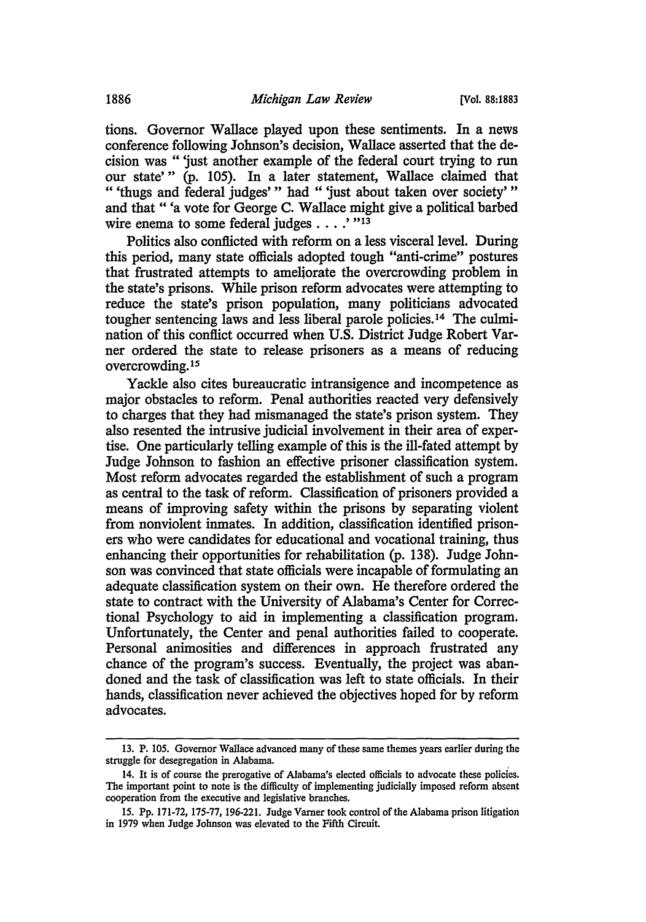tions. Governor Wallace played upon these sentiments. In a news conference following Johnson's decision, Wallace asserted that the decision was " 'just another example of the federal court trying to run our state'" (p. 105). In a later statement, Wallace claimed that " 'thugs and federal judges' " had " 'just about taken over society' " and that" 'a vote for George C. Wallace might give a political barbed wire enema to some federal judges  $\dots$ .'"<sup>13</sup>

Politics also conflicted with reform on a less visceral level. During this period, many state officials adopted tough "anti-crime" postures that frustrated attempts to ameliorate the overcrowding problem in the state's prisons. While prison reform advocates were attempting to reduce the state's prison population, many politicians advocated tougher sentencing laws and less liberal parole policies. 14 The culmination of this conflict occurred when U.S. District Judge Robert Varner ordered the state to release prisoners as a means of reducing overcrowding. <sup>15</sup>

Yackle also cites bureaucratic intransigence and incompetence as major obstacles to reform. Penal authorities reacted very defensively to charges that they had mismanaged the state's prison system. They also resented the intrusive judicial involvement in their area of expertise. One particularly telling example of this is the ill-fated attempt by Judge Johnson to fashion an effective prisoner classification system. Most reform advocates regarded the establishment of such a program as central to the task of reform. Classification of prisoners provided a means of improving safety within the prisons by separating violent from nonviolent inmates. In addition, classification identified prisoners who were candidates for educational and vocational training, thus enhancing their opportunities for rehabilitation (p. 138). Judge Johnson was convinced that state officials were incapable of formulating an adequate classification system on their own. He therefore ordered the state to contract with the University of Alabama's Center for Correctional Psychology to aid in implementing a classification program. Unfortunately, the Center and penal authorities failed to cooperate. Personal animosities and differences in approach frustrated any chance of the program's success. Eventually, the project was abandoned and the task of classification was left to state officials. In their hands, classification never achieved the objectives hoped for by reform advocates.

<sup>13.</sup> P. 105. Governor Wallace advanced many of these same themes years earlier during the struggle for desegregation in Alabama.

<sup>14.</sup> It is of course the prerogative of Alabama's elected officials to advocate these policies. The important point to note is the difficulty of implementing judicially imposed reform absent cooperation from the executive and legislative branches.

<sup>15.</sup> Pp. 171-72, 175-77, 196-221. Judge Varner took control of the Alabama prison litigation in 1979 when Judge Johnson was elevated to the Fifth Circuit.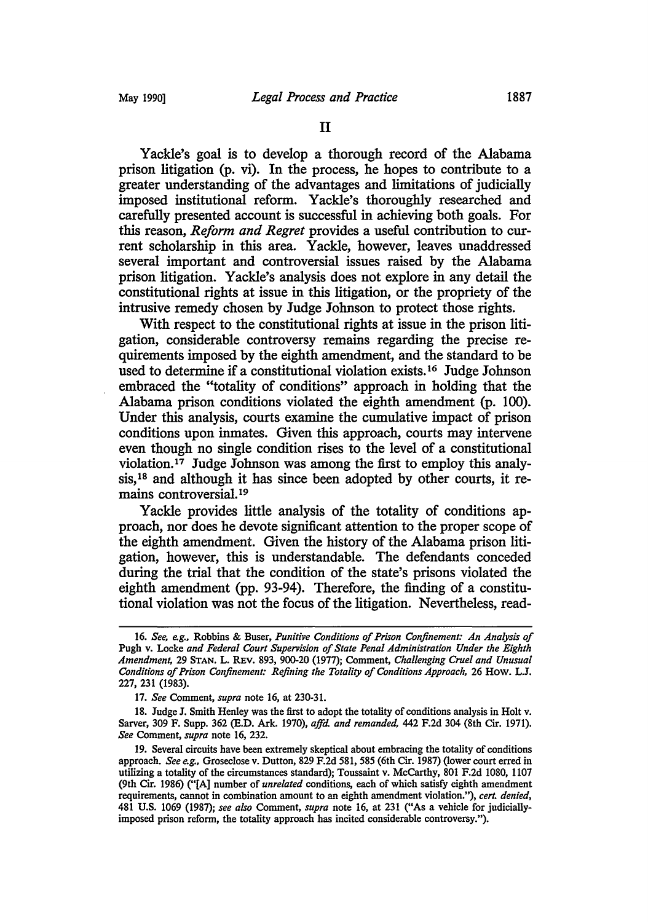Yackle's goal is to develop a thorough record of the Alabama prison litigation (p. vi). In the process, he hopes to contribute to a greater understanding of the advantages and limitations of judicially imposed institutional reform. Yackle's thoroughly researched and carefully presented account is successful in achieving both goals. For this reason, *Reform and Regret* provides a useful contribution to current scholarship in this area. Yackle, however, leaves unaddressed several important and controversial issues raised by the Alabama prison litigation. Yackle's analysis does not explore in any detail the constitutional rights at issue in this litigation, or the propriety of the intrusive remedy chosen by Judge Johnson to protect those rights.

With respect to the constitutional rights at issue in the prison litigation, considerable controversy remains regarding the precise requirements imposed by the eighth amendment, and the standard to be used to determine if a constitutional violation exists.16 Judge Johnson embraced the "totality of conditions" approach in holding that the Alabama prison conditions violated the eighth amendment (p. 100). Under this analysis, courts examine the cumulative impact of prison conditions upon inmates. Given this approach, courts may intervene even though no single condition rises to the level of a constitutional violation.17 Judge Johnson was among the first to employ this analysis,<sup>18</sup> and although it has since been adopted by other courts, it remains controversial.19

Yackle provides little analysis of the totality of conditions approach, nor does he devote significant attention to the proper scope of the eighth amendment. Given the history of the Alabama prison litigation, however, this is understandable. The defendants conceded during the trial that the condition of the state's prisons violated the eighth amendment (pp. 93-94). Therefore, the finding of a constitutional violation was not the focus of the litigation. Nevertheless, read-

<sup>16.</sup> *See, e.g.,* Robbins & Buser, *Punitive Conditions of Prison Confinement: An Analysis of*  Pugh v. Locke *and Federal Court Supervision of State Penal Administration Under the Eighth Amendment, 29 STAN. L. REV. 893, 900-20 (1977); Comment, Challenging Cruel and Unusual Conditions of Prison Confinement: Refining the Totality of Conditions Approach,* 26 How. L.J. 227, 231 (1983).

<sup>17.</sup> *See* Comment, *supra* note 16, at 230-31.

<sup>18.</sup> Judge J. Smith Henley was the first to adopt the totality of conditions analysis in Holt v. Sarver, 309 F. Supp. 362 (E.D. Ark. 1970), *ajfd. and remanded,* 442 F.2d 304 (8th Cir. 1971). *See* Comment, *supra* note 16, 232.

<sup>19.</sup> Several circuits have been extremely skeptical about embracing the totality of conditions approach. *See e.g.*, Groseclose v. Dutton, 829 F.2d 581, 585 (6th Cir. 1987) (lower court erred in utilizing a totality of the circumstances standard); Toussaint v. McCarthy, 801 F.2d 1080, 1107 (9th Cir. 1986) ("[A] number of *unrelated* conditions, each of which satisfy eighth amendment requirements, cannot in combination amount to an eighth amendment violation."), *cert. denied,*  481 U.S. 1069 (1987); see also Comment, *supra* note 16, at 231 ("As a vehicle for judiciallyimposed prison reform, the totality approach has incited considerable controversy.").